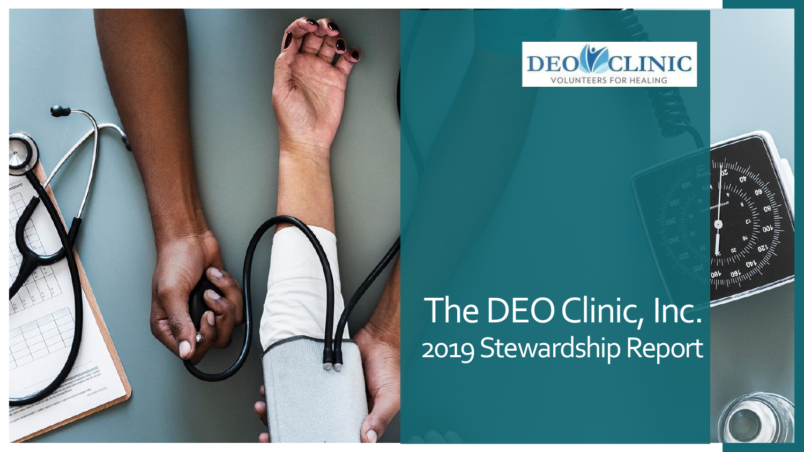

# The DEO Clinic, Inc. 2019 Stewardship Report

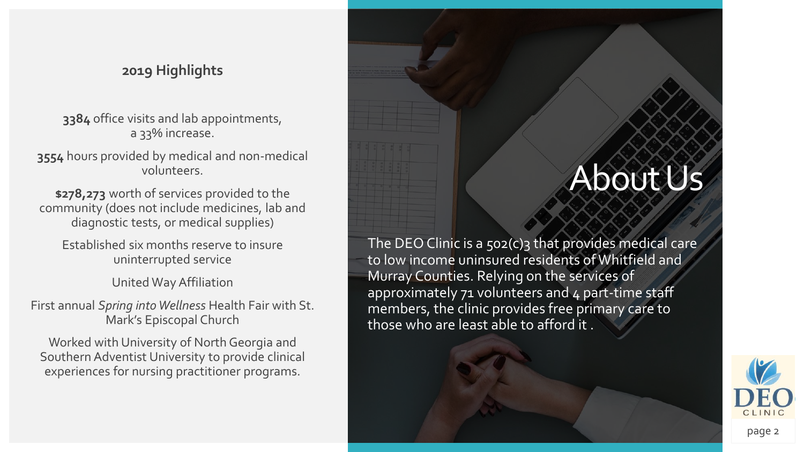### **2019 Highlights**

**3384** office visits and lab appointments, a 33% increase.

**3554** hours provided by medical and non-medical volunteers.

**\$278,273** worth of services provided to the community (does not include medicines, lab and diagnostic tests, or medical supplies)

Established six months reserve to insure uninterrupted service

United Way Affiliation

First annual *Spring into Wellness* Health Fair with St. Mark's Episcopal Church

Worked with University of North Georgia and Southern Adventist University to provide clinical experiences for nursing practitioner programs.

## About Us

The DEO Clinic is a 502(c)3 that provides medical care to low income uninsured residents of Whitfield and Murray Counties. Relying on the services of approximately  $71$  volunteers and  $4$  part-time staff members, the clinic provides free primary care to those who are least able to afford it .



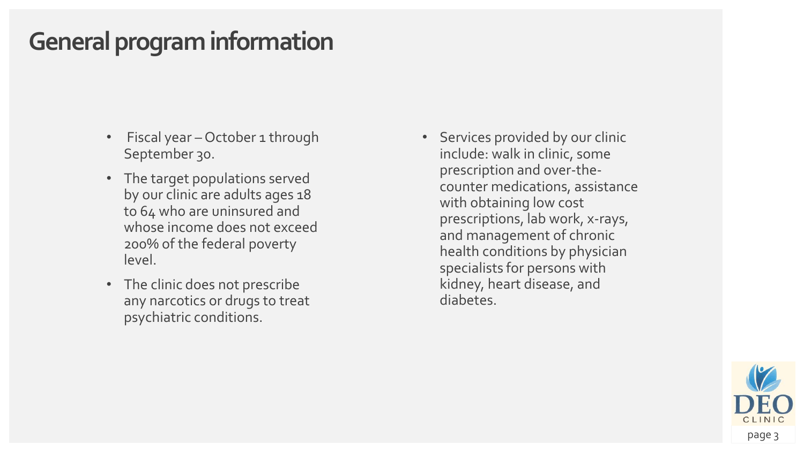## **General program information**

- Fiscal year October 1 through September 30.
- The target populations served by our clinic are adults ages 18 to 64 who are uninsured and whose income does not exceed 200% of the federal poverty level.
- The clinic does not prescribe any narcotics or drugs to treat psychiatric conditions.

• Services provided by our clinic include: walk in clinic, some prescription and over-thecounter medications, assistance with obtaining low cost prescriptions, lab work, x-rays, and management of chronic health conditions by physician specialists for persons with kidney, heart disease, and diabetes.

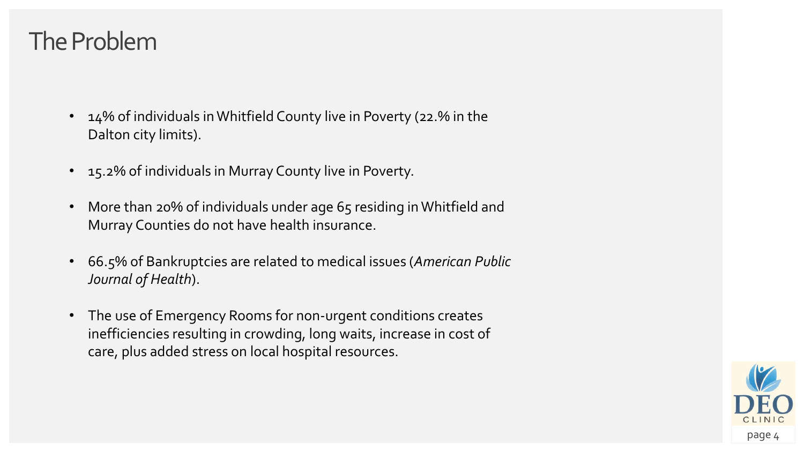## The Problem

- 14% of individuals in Whitfield County live in Poverty (22.% in the Dalton city limits).
- 15.2% of individuals in Murray County live in Poverty.
- More than 20% of individuals under age 65 residing in Whitfield and Murray Counties do not have health insurance.
- 66.5% of Bankruptcies are related to medical issues (*American Public Journal of Health*).
- The use of Emergency Rooms for non-urgent conditions creates inefficiencies resulting in crowding, long waits, increase in cost of care, plus added stress on local hospital resources.

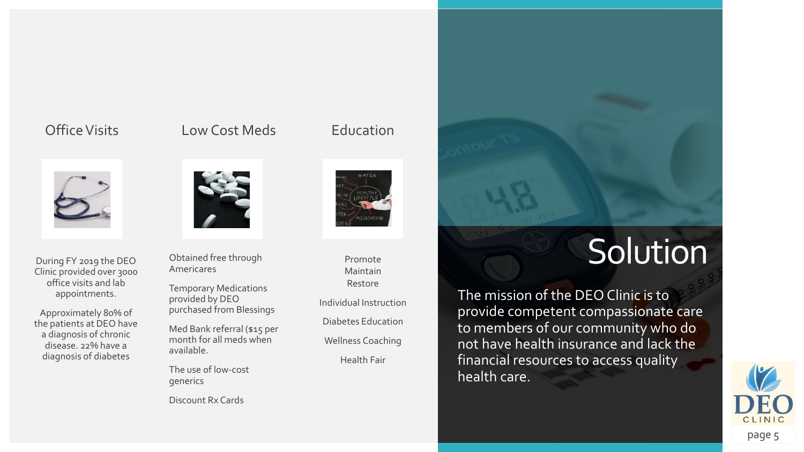#### Office Visits



During FY 2019 the DEO Clinic provided over 3000 office visits and lab appointments.

Approximately 80% of the patients at DEO have a diagnosis of chronic disease. 22% have a diagnosis of diabetes

#### Low Cost Meds



Obtained free through Americares

Temporary Medications provided by DEO purchased from Blessings

Med Bank referral (\$15 per month for all meds when available.

The use of low-cost generics

Discount Rx Cards



Education

Promote Maintain Restore

Individual Instruction

Diabetes Education

Wellness Coaching

Health Fair

# **Solution**

The mission of the DEO Clinic is to provide competent compassionate care to members of our community who do not have health insurance and lack the financial resources to access quality health care.

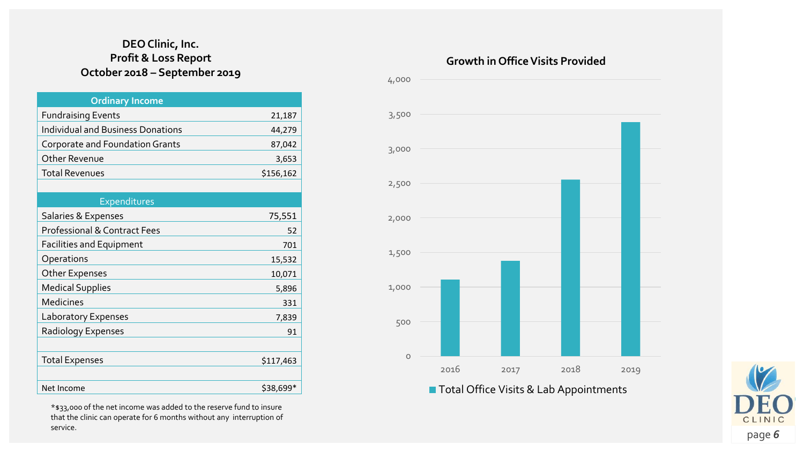#### **DEO Clinic, Inc. Profit & Loss Report October 2018 – September 2019**

| <b>Ordinary Income</b>                   |           |
|------------------------------------------|-----------|
| <b>Fundraising Events</b>                | 21,187    |
| <b>Individual and Business Donations</b> | 44,279    |
| Corporate and Foundation Grants          | 87,042    |
| Other Revenue                            | 3,653     |
| <b>Total Revenues</b>                    | \$156,162 |
|                                          |           |
| Expenditures                             |           |
| Salaries & Expenses                      | 75,551    |
| <b>Professional &amp; Contract Fees</b>  | 52        |
| <b>Facilities and Equipment</b>          | 701       |
| Operations                               | 15,532    |
| Other Expenses                           | 10,071    |
| <b>Medical Supplies</b>                  | 5,896     |
| Medicines                                | 331       |
| Laboratory Expenses                      | 7,839     |
| Radiology Expenses                       | 91        |
|                                          |           |
| <b>Total Expenses</b>                    | \$117,463 |
|                                          |           |
| Net Income                               | \$38,699* |

\*\$33,000 of the net income was added to the reserve fund to insure

that the clinic can operate for 6 months without any interruption of service.

#### **Growth in Office Visits Provided**



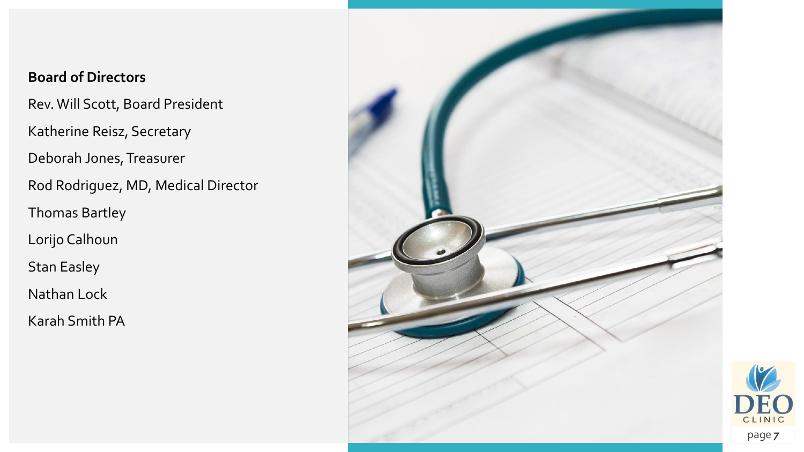### **Board of Directors**

Rev. Will Scott, Board President

Katherine Reisz, Secretary

Deborah Jones, Treasurer

Rod Rodriguez, MD, Medical Director

Thomas Bartley

Lorijo Calhoun

Stan Easley

Nathan Lock

Karah Smith PA